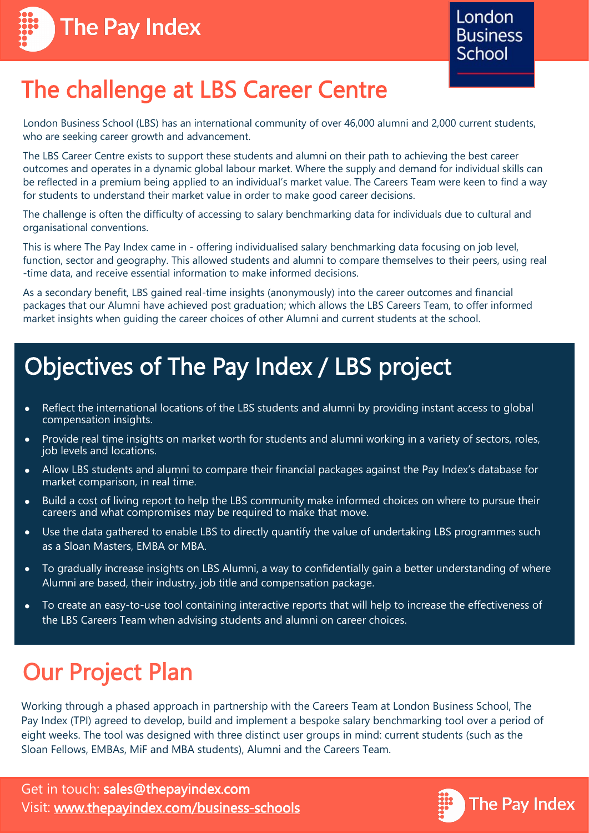



# The challenge at LBS Career Centre

London Business School (LBS) has an international community of over 46,000 alumni and 2,000 current students, who are seeking career growth and advancement.

The LBS Career Centre exists to support these students and alumni on their path to achieving the best career outcomes and operates in a dynamic global labour market. Where the supply and demand for individual skills can be reflected in a premium being applied to an individual's market value. The Careers Team were keen to find a way for students to understand their market value in order to make good career decisions.

The challenge is often the difficulty of accessing to salary benchmarking data for individuals due to cultural and organisational conventions.

This is where The Pay Index came in - offering individualised salary benchmarking data focusing on job level, function, sector and geography. This allowed students and alumni to compare themselves to their peers, using real -time data, and receive essential information to make informed decisions.

As a secondary benefit, LBS gained real-time insights (anonymously) into the career outcomes and financial packages that our Alumni have achieved post graduation; which allows the LBS Careers Team, to offer informed market insights when guiding the career choices of other Alumni and current students at the school.

#### Objectives of The Pay Index / LBS project

- Reflect the international locations of the LBS students and alumni by providing instant access to global  $\bullet$ compensation insights.
- Provide real time insights on market worth for students and alumni working in a variety of sectors, roles,  $\bullet$ job levels and locations.
- Allow LBS students and alumni to compare their financial packages against the Pay Index's database for  $\bullet$ market comparison, in real time.
- Build a cost of living report to help the LBS community make informed choices on where to pursue their  $\bullet$ careers and what compromises may be required to make that move.
- Use the data gathered to enable LBS to directly quantify the value of undertaking LBS programmes such  $\bullet$ as a Sloan Masters, EMBA or MBA.
- To gradually increase insights on LBS Alumni, a way to confidentially gain a better understanding of where Alumni are based, their industry, job title and compensation package.
- To create an easy-to-use tool containing interactive reports that will help to increase the effectiveness of  $\bullet$ the LBS Careers Team when advising students and alumni on career choices.

### Our Project Plan

Working through a phased approach in partnership with the Careers Team at London Business School, The Pay Index (TPI) agreed to develop, build and implement a bespoke salary benchmarking tool over a period of eight weeks. The tool was designed with three distinct user groups in mind: current students (such as the Sloan Fellows, EMBAs, MiF and MBA students), Alumni and the Careers Team.

Get in touch: sales@thepayindex.com Visit: [www.thepayindex.com/business](http://www.thepayindex.com/business-schools)-schools